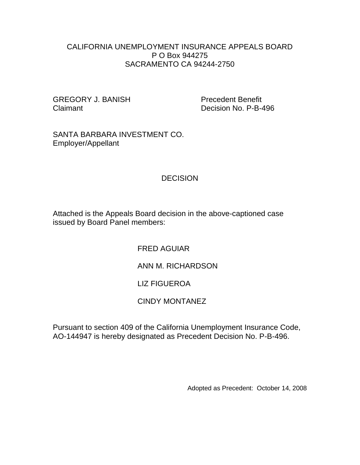### CALIFORNIA UNEMPLOYMENT INSURANCE APPEALS BOARD P O Box 944275 SACRAMENTO CA 94244-2750

GREGORY J. BANISH Precedent Benefit Claimant Decision No. P-B-496

SANTA BARBARA INVESTMENT CO. Employer/Appellant

## **DECISION**

Attached is the Appeals Board decision in the above-captioned case issued by Board Panel members:

FRED AGUIAR

ANN M. RICHARDSON

# LIZ FIGUEROA

# CINDY MONTANEZ

Pursuant to section 409 of the California Unemployment Insurance Code, AO-144947 is hereby designated as Precedent Decision No. P-B-496.

Adopted as Precedent: October 14, 2008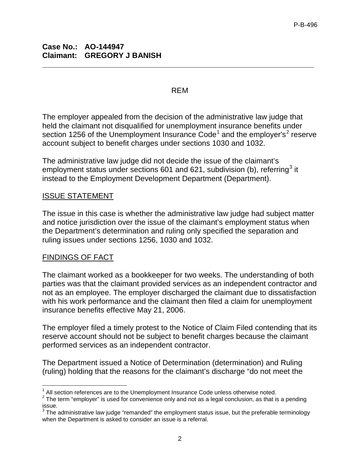#### REM

**\_\_\_\_\_\_\_\_\_\_\_\_\_\_\_\_\_\_\_\_\_\_\_\_\_\_\_\_\_\_\_\_\_\_\_\_\_\_\_\_\_\_\_\_\_\_\_\_\_\_\_\_\_\_\_\_\_\_\_\_\_\_\_\_**

The employer appealed from the decision of the administrative law judge that held the claimant not disqualified for unemployment insurance benefits under section [1](#page-1-0)[2](#page-1-1)56 of the Unemployment Insurance  $Code<sup>1</sup>$  and the employer's<sup>2</sup> reserve account subject to benefit charges under sections 1030 and 1032.

The administrative law judge did not decide the issue of the claimant's employment status under sections 601 and 621, subdivision (b), referring<sup>[3](#page-1-2)</sup> it instead to the Employment Development Department (Department).

## ISSUE STATEMENT

The issue in this case is whether the administrative law judge had subject matter and notice jurisdiction over the issue of the claimant's employment status when the Department's determination and ruling only specified the separation and ruling issues under sections 1256, 1030 and 1032.

#### FINDINGS OF FACT

The claimant worked as a bookkeeper for two weeks. The understanding of both parties was that the claimant provided services as an independent contractor and not as an employee. The employer discharged the claimant due to dissatisfaction with his work performance and the claimant then filed a claim for unemployment insurance benefits effective May 21, 2006.

The employer filed a timely protest to the Notice of Claim Filed contending that its reserve account should not be subject to benefit charges because the claimant performed services as an independent contractor.

The Department issued a Notice of Determination (determination) and Ruling (ruling) holding that the reasons for the claimant's discharge "do not meet the

 $\overline{\phantom{a}}$  $1$  All section references are to the Unemployment Insurance Code unless otherwise noted.

<span id="page-1-1"></span><span id="page-1-0"></span><sup>&</sup>lt;sup>2</sup> The term "employer" is used for convenience only and not as a legal conclusion, as that is a pending issue.

<span id="page-1-2"></span><sup>&</sup>lt;sup>3</sup>The administrative law judge "remanded" the employment status issue, but the preferable terminology when the Department is asked to consider an issue is a referral.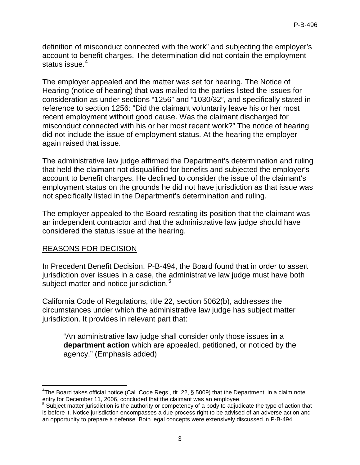definition of misconduct connected with the work" and subjecting the employer's account to benefit charges. The determination did not contain the employment status issue.<sup>[4](#page-2-0)</sup>

The employer appealed and the matter was set for hearing. The Notice of Hearing (notice of hearing) that was mailed to the parties listed the issues for consideration as under sections "1256" and "1030/32", and specifically stated in reference to section 1256: "Did the claimant voluntarily leave his or her most recent employment without good cause. Was the claimant discharged for misconduct connected with his or her most recent work?" The notice of hearing did not include the issue of employment status. At the hearing the employer again raised that issue.

The administrative law judge affirmed the Department's determination and ruling that held the claimant not disqualified for benefits and subjected the employer's account to benefit charges. He declined to consider the issue of the claimant's employment status on the grounds he did not have jurisdiction as that issue was not specifically listed in the Department's determination and ruling.

The employer appealed to the Board restating its position that the claimant was an independent contractor and that the administrative law judge should have considered the status issue at the hearing.

#### REASONS FOR DECISION

In Precedent Benefit Decision, P-B-494, the Board found that in order to assert jurisdiction over issues in a case, the administrative law judge must have both subject matter and notice jurisdiction.<sup>[5](#page-2-1)</sup>

California Code of Regulations, title 22, section 5062(b), addresses the circumstances under which the administrative law judge has subject matter jurisdiction. It provides in relevant part that:

"An administrative law judge shall consider only those issues **in** a **department action** which are appealed, petitioned, or noticed by the agency." (Emphasis added)

<span id="page-2-0"></span> $\overline{\phantom{a}}$  ${}^{4}$ The Board takes official notice (Cal. Code Regs., tit. 22, § 5009) that the Department, in a claim note entry for December 11, 2006, concluded that the claimant was an employee.

<span id="page-2-1"></span><sup>&</sup>lt;sup>5</sup> Subject matter jurisdiction is the authority or competency of a body to adjudicate the type of action that is before it. Notice jurisdiction encompasses a due process right to be advised of an adverse action and an opportunity to prepare a defense. Both legal concepts were extensively discussed in P-B-494.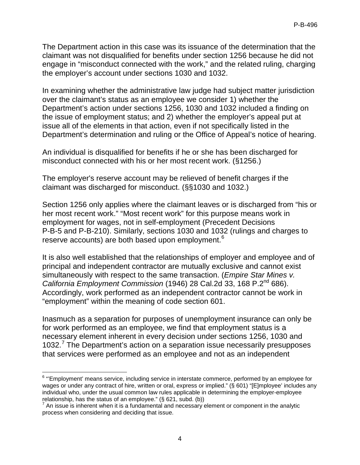The Department action in this case was its issuance of the determination that the claimant was not disqualified for benefits under section 1256 because he did not engage in "misconduct connected with the work," and the related ruling, charging the employer's account under sections 1030 and 1032.

In examining whether the administrative law judge had subject matter jurisdiction over the claimant's status as an employee we consider 1) whether the Department's action under sections 1256, 1030 and 1032 included a finding on the issue of employment status; and 2) whether the employer's appeal put at issue all of the elements in that action, even if not specifically listed in the Department's determination and ruling or the Office of Appeal's notice of hearing.

An individual is disqualified for benefits if he or she has been discharged for misconduct connected with his or her most recent work. (§1256.)

The employer's reserve account may be relieved of benefit charges if the claimant was discharged for misconduct. (§§1030 and 1032.)

Section 1256 only applies where the claimant leaves or is discharged from "his or her most recent work." "Most recent work" for this purpose means work in employment for wages, not in self-employment (Precedent Decisions P-B-5 and P-B-210). Similarly, sections 1030 and 1032 (rulings and charges to reserve accounts) are both based upon employment.<sup>[6](#page-3-0)</sup>

It is also well established that the relationships of employer and employee and of principal and independent contractor are mutually exclusive and cannot exist simultaneously with respect to the same transaction. (*Empire Star Mines v. California Employment Commission* (1946) 28 Cal.2d 33, 168 P.2nd 686). Accordingly, work performed as an independent contractor cannot be work in "employment" within the meaning of code section 601.

Inasmuch as a separation for purposes of unemployment insurance can only be for work performed as an employee, we find that employment status is a necessary element inherent in every decision under sections 1256, 1030 and 1032.<sup>[7](#page-3-1)</sup> The Department's action on a separation issue necessarily presupposes that services were performed as an employee and not as an independent

<span id="page-3-0"></span> $\overline{\phantom{a}}$  $^6$  "'Employment' means service, including service in interstate commerce, performed by an employee for wages or under any contract of hire, written or oral, express or implied." (§ 601) "[E]mployee' includes any individual who, under the usual common law rules applicable in determining the employer-employee relationship, has the status of an employee." (§ 621, subd. (b))

<span id="page-3-1"></span> $<sup>7</sup>$  An issue is inherent when it is a fundamental and necessary element or component in the analytic</sup> process when considering and deciding that issue.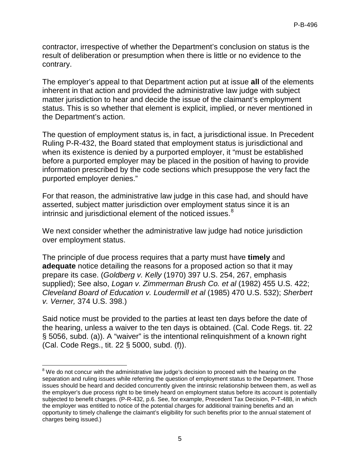contractor, irrespective of whether the Department's conclusion on status is the result of deliberation or presumption when there is little or no evidence to the contrary.

The employer's appeal to that Department action put at issue **all** of the elements inherent in that action and provided the administrative law judge with subject matter jurisdiction to hear and decide the issue of the claimant's employment status. This is so whether that element is explicit, implied, or never mentioned in the Department's action.

The question of employment status is, in fact, a jurisdictional issue. In Precedent Ruling P-R-432, the Board stated that employment status is jurisdictional and when its existence is denied by a purported employer, it "must be established before a purported employer may be placed in the position of having to provide information prescribed by the code sections which presuppose the very fact the purported employer denies."

For that reason, the administrative law judge in this case had, and should have asserted, subject matter jurisdiction over employment status since it is an intrinsic and jurisdictional element of the noticed issues. $8<sup>8</sup>$  $8<sup>8</sup>$ 

We next consider whether the administrative law judge had notice jurisdiction over employment status.

The principle of due process requires that a party must have **timely** and **adequate** notice detailing the reasons for a proposed action so that it may prepare its case. (*Goldberg v. Kelly* (1970) 397 U.S. 254, 267, emphasis supplied); See also, *Logan v. Zimmerman Brush Co. et al* (1982) 455 U.S. 422; *Cleveland Board of Education v. Loudermill et al* (1985) 470 U.S. 532); *Sherbert v. Verner,* 374 U.S. 398.)

Said notice must be provided to the parties at least ten days before the date of the hearing, unless a waiver to the ten days is obtained. (Cal. Code Regs. tit. 22 § 5056, subd. (a)). A "waiver" is the intentional relinquishment of a known right (Cal. Code Regs., tit. 22 § 5000, subd. (f)).

<span id="page-4-0"></span> $\overline{a}$  $8$  We do not concur with the administrative law judge's decision to proceed with the hearing on the separation and ruling issues while referring the question of employment status to the Department. Those issues should be heard and decided concurrently given the intrinsic relationship between them, as well as the employer's due process right to be timely heard on employment status before its account is potentially subjected to benefit charges. (P-R-432, p.6. See, for example, Precedent Tax Decision, P-T-488, in which the employer was entitled to notice of the potential charges for additional training benefits and an opportunity to timely challenge the claimant's eligibility for such benefits prior to the annual statement of charges being issued.)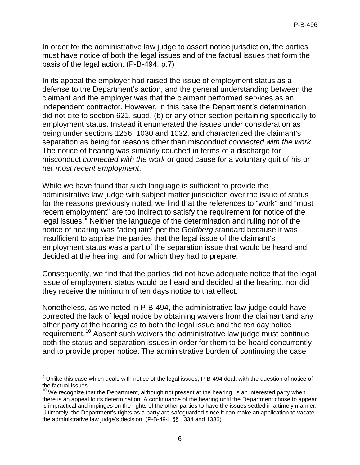In order for the administrative law judge to assert notice jurisdiction, the parties must have notice of both the legal issues and of the factual issues that form the basis of the legal action. (P-B-494, p.7)

In its appeal the employer had raised the issue of employment status as a defense to the Department's action, and the general understanding between the claimant and the employer was that the claimant performed services as an independent contractor. However, in this case the Department's determination did not cite to section 621, subd. (b) or any other section pertaining specifically to employment status. Instead it enumerated the issues under consideration as being under sections 1256, 1030 and 1032, and characterized the claimant's separation as being for reasons other than misconduct *connected with the work*. The notice of hearing was similarly couched in terms of a discharge for misconduct *connected with the work* or good cause for a voluntary quit of his or her *most recent employment*.

While we have found that such language is sufficient to provide the administrative law judge with subject matter jurisdiction over the issue of status for the reasons previously noted, we find that the references to "work" and "most recent employment" are too indirect to satisfy the requirement for notice of the legal issues.<sup>[9](#page-5-0)</sup> Neither the language of the determination and ruling nor of the notice of hearing was "adequate" per the *Goldberg* standard because it was insufficient to apprise the parties that the legal issue of the claimant's employment status was a part of the separation issue that would be heard and decided at the hearing, and for which they had to prepare.

Consequently, we find that the parties did not have adequate notice that the legal issue of employment status would be heard and decided at the hearing, nor did they receive the minimum of ten days notice to that effect.

Nonetheless, as we noted in P-B-494, the administrative law judge could have corrected the lack of legal notice by obtaining waivers from the claimant and any other party at the hearing as to both the legal issue and the ten day notice requirement.<sup>[10](#page-5-1)</sup> Absent such waivers the administrative law judge must continue both the status and separation issues in order for them to be heard concurrently and to provide proper notice. The administrative burden of continuing the case

<span id="page-5-0"></span> $\overline{a}$  $^9$  Unlike this case which deals with notice of the legal issues, P-B-494 dealt with the question of notice of the factual issues

<span id="page-5-1"></span> $10$  We recognize that the Department, although not present at the hearing, is an interested party when there is an appeal to its determination. A continuance of the hearing until the Department chose to appear is impractical and impinges on the rights of the other parties to have the issues settled in a timely manner. Ultimately, the Department's rights as a party are safeguarded since it can make an application to vacate the administrative law judge's decision. (P-B-494, §§ 1334 and 1336)